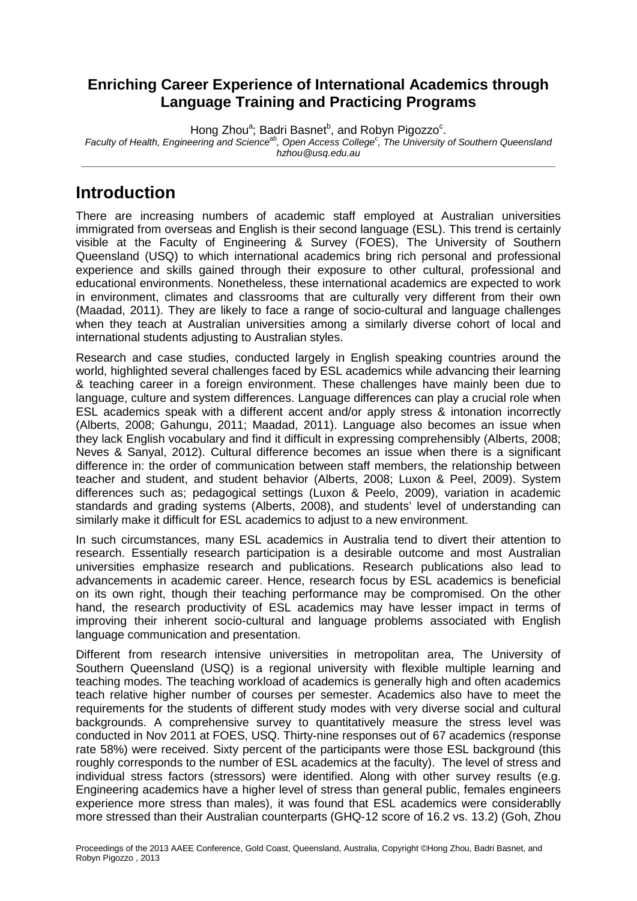#### **Enriching Career Experience of International Academics through Language Training and Practicing Programs**

Hong Zhou<sup>a</sup>; Badri Basnet<sup>b</sup>, and Robyn Pigozzo<sup>c</sup> . *Faculty of Health, Engineering and Scienceab , Open Access College<sup>c</sup> , The University of Southern Queensland hzhou@usq.edu.au*

## **Introduction**

There are increasing numbers of academic staff employed at Australian universities immigrated from overseas and English is their second language (ESL). This trend is certainly visible at the Faculty of Engineering & Survey (FOES), The University of Southern Queensland (USQ) to which international academics bring rich personal and professional experience and skills gained through their exposure to other cultural, professional and educational environments. Nonetheless, these international academics are expected to work in environment, climates and classrooms that are culturally very different from their own (Maadad, 2011). They are likely to face a range of socio-cultural and language challenges when they teach at Australian universities among a similarly diverse cohort of local and international students adjusting to Australian styles.

Research and case studies, conducted largely in English speaking countries around the world, highlighted several challenges faced by ESL academics while advancing their learning & teaching career in a foreign environment. These challenges have mainly been due to language, culture and system differences. Language differences can play a crucial role when ESL academics speak with a different accent and/or apply stress & intonation incorrectly (Alberts, 2008; Gahungu, 2011; Maadad, 2011). Language also becomes an issue when they lack English vocabulary and find it difficult in expressing comprehensibly (Alberts, 2008; Neves & Sanyal, 2012). Cultural difference becomes an issue when there is a significant difference in: the order of communication between staff members, the relationship between teacher and student, and student behavior (Alberts, 2008; Luxon & Peel, 2009). System differences such as; pedagogical settings (Luxon & Peelo, 2009), variation in academic standards and grading systems (Alberts, 2008), and students' level of understanding can similarly make it difficult for ESL academics to adjust to a new environment.

In such circumstances, many ESL academics in Australia tend to divert their attention to research. Essentially research participation is a desirable outcome and most Australian universities emphasize research and publications. Research publications also lead to advancements in academic career. Hence, research focus by ESL academics is beneficial on its own right, though their teaching performance may be compromised. On the other hand, the research productivity of ESL academics may have lesser impact in terms of improving their inherent socio-cultural and language problems associated with English language communication and presentation.

Different from research intensive universities in metropolitan area, The University of Southern Queensland (USQ) is a regional university with flexible multiple learning and teaching modes. The teaching workload of academics is generally high and often academics teach relative higher number of courses per semester. Academics also have to meet the requirements for the students of different study modes with very diverse social and cultural backgrounds. A comprehensive survey to quantitatively measure the stress level was conducted in Nov 2011 at FOES, USQ. Thirty-nine responses out of 67 academics (response rate 58%) were received. Sixty percent of the participants were those ESL background (this roughly corresponds to the number of ESL academics at the faculty). The level of stress and individual stress factors (stressors) were identified. Along with other survey results (e.g. Engineering academics have a higher level of stress than general public, females engineers experience more stress than males), it was found that ESL academics were considerablly more stressed than their Australian counterparts (GHQ-12 score of 16.2 vs. 13.2) (Goh, Zhou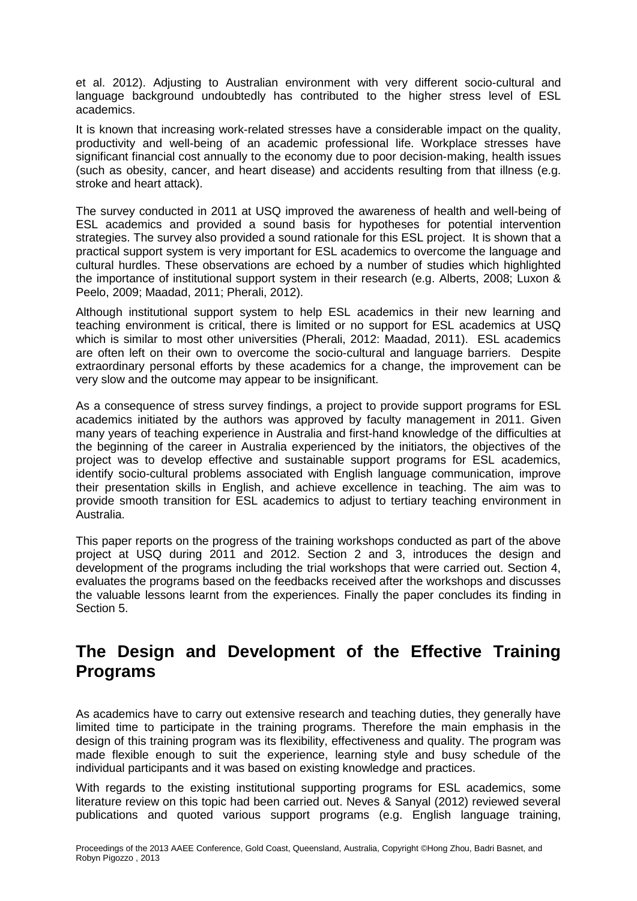et al. 2012). Adjusting to Australian environment with very different socio-cultural and language background undoubtedly has contributed to the higher stress level of ESL academics.

It is known that increasing work-related stresses have a considerable impact on the quality, productivity and well-being of an academic professional life. Workplace stresses have significant financial cost annually to the economy due to poor decision-making, health issues (such as obesity, cancer, and heart disease) and accidents resulting from that illness (e.g. stroke and heart attack).

The survey conducted in 2011 at USQ improved the awareness of health and well-being of ESL academics and provided a sound basis for hypotheses for potential intervention strategies. The survey also provided a sound rationale for this ESL project. It is shown that a practical support system is very important for ESL academics to overcome the language and cultural hurdles. These observations are echoed by a number of studies which highlighted the importance of institutional support system in their research (e.g. Alberts, 2008; Luxon & Peelo, 2009; Maadad, 2011; Pherali, 2012).

Although institutional support system to help ESL academics in their new learning and teaching environment is critical, there is limited or no support for ESL academics at USQ which is similar to most other universities (Pherali, 2012: Maadad, 2011). ESL academics are often left on their own to overcome the socio-cultural and language barriers. Despite extraordinary personal efforts by these academics for a change, the improvement can be very slow and the outcome may appear to be insignificant.

As a consequence of stress survey findings, a project to provide support programs for ESL academics initiated by the authors was approved by faculty management in 2011. Given many years of teaching experience in Australia and first-hand knowledge of the difficulties at the beginning of the career in Australia experienced by the initiators, the objectives of the project was to develop effective and sustainable support programs for ESL academics, identify socio-cultural problems associated with English language communication, improve their presentation skills in English, and achieve excellence in teaching. The aim was to provide smooth transition for ESL academics to adjust to tertiary teaching environment in Australia.

This paper reports on the progress of the training workshops conducted as part of the above project at USQ during 2011 and 2012. Section 2 and 3, introduces the design and development of the programs including the trial workshops that were carried out. Section 4, evaluates the programs based on the feedbacks received after the workshops and discusses the valuable lessons learnt from the experiences. Finally the paper concludes its finding in Section 5.

### **The Design and Development of the Effective Training Programs**

As academics have to carry out extensive research and teaching duties, they generally have limited time to participate in the training programs. Therefore the main emphasis in the design of this training program was its flexibility, effectiveness and quality. The program was made flexible enough to suit the experience, learning style and busy schedule of the individual participants and it was based on existing knowledge and practices.

With regards to the existing institutional supporting programs for ESL academics, some literature review on this topic had been carried out. Neves & Sanyal (2012) reviewed several publications and quoted various support programs (e.g. English language training,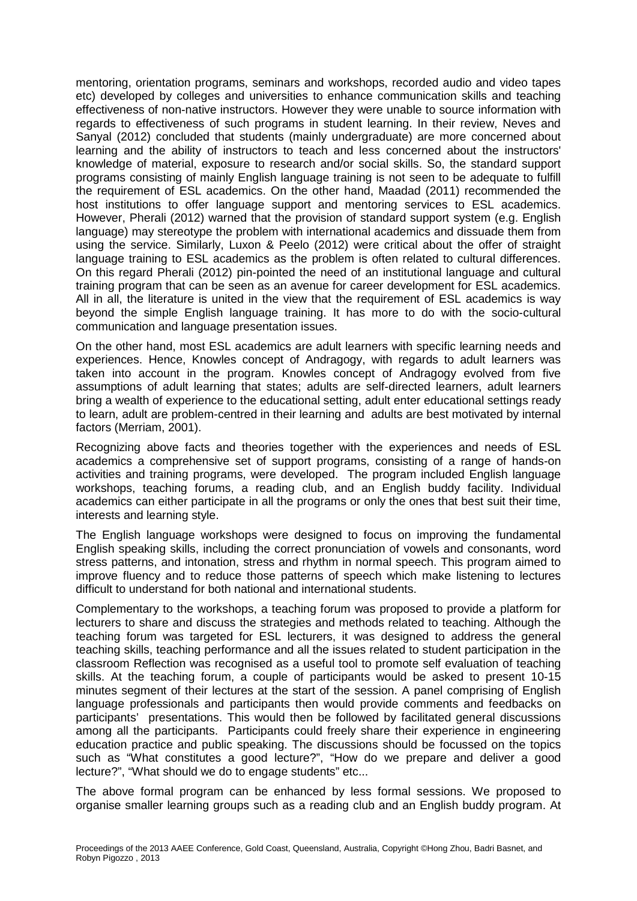mentoring, orientation programs, seminars and workshops, recorded audio and video tapes etc) developed by colleges and universities to enhance communication skills and teaching effectiveness of non-native instructors. However they were unable to source information with regards to effectiveness of such programs in student learning. In their review, Neves and Sanyal (2012) concluded that students (mainly undergraduate) are more concerned about learning and the ability of instructors to teach and less concerned about the instructors' knowledge of material, exposure to research and/or social skills. So, the standard support programs consisting of mainly English language training is not seen to be adequate to fulfill the requirement of ESL academics. On the other hand, Maadad (2011) recommended the host institutions to offer language support and mentoring services to ESL academics. However, Pherali (2012) warned that the provision of standard support system (e.g. English language) may stereotype the problem with international academics and dissuade them from using the service. Similarly, Luxon & Peelo (2012) were critical about the offer of straight language training to ESL academics as the problem is often related to cultural differences. On this regard Pherali (2012) pin-pointed the need of an institutional language and cultural training program that can be seen as an avenue for career development for ESL academics. All in all, the literature is united in the view that the requirement of ESL academics is way beyond the simple English language training. It has more to do with the socio-cultural communication and language presentation issues.

On the other hand, most ESL academics are adult learners with specific learning needs and experiences. Hence, Knowles concept of Andragogy, with regards to adult learners was taken into account in the program. Knowles concept of Andragogy evolved from five assumptions of adult learning that states; adults are self-directed learners, adult learners bring a wealth of experience to the educational setting, adult enter educational settings ready to learn, adult are problem-centred in their learning and adults are best motivated by internal factors (Merriam, 2001).

Recognizing above facts and theories together with the experiences and needs of ESL academics a comprehensive set of support programs, consisting of a range of hands-on activities and training programs, were developed. The program included English language workshops, teaching forums, a reading club, and an English buddy facility. Individual academics can either participate in all the programs or only the ones that best suit their time, interests and learning style.

The English language workshops were designed to focus on improving the fundamental English speaking skills, including the correct pronunciation of vowels and consonants, word stress patterns, and intonation, stress and rhythm in normal speech. This program aimed to improve fluency and to reduce those patterns of speech which make listening to lectures difficult to understand for both national and international students.

Complementary to the workshops, a teaching forum was proposed to provide a platform for lecturers to share and discuss the strategies and methods related to teaching. Although the teaching forum was targeted for ESL lecturers, it was designed to address the general teaching skills, teaching performance and all the issues related to student participation in the classroom Reflection was recognised as a useful tool to promote self evaluation of teaching skills. At the teaching forum, a couple of participants would be asked to present 10-15 minutes segment of their lectures at the start of the session. A panel comprising of English language professionals and participants then would provide comments and feedbacks on participants' presentations. This would then be followed by facilitated general discussions among all the participants. Participants could freely share their experience in engineering education practice and public speaking. The discussions should be focussed on the topics such as "What constitutes a good lecture?", "How do we prepare and deliver a good lecture?", "What should we do to engage students" etc...

The above formal program can be enhanced by less formal sessions. We proposed to organise smaller learning groups such as a reading club and an English buddy program. At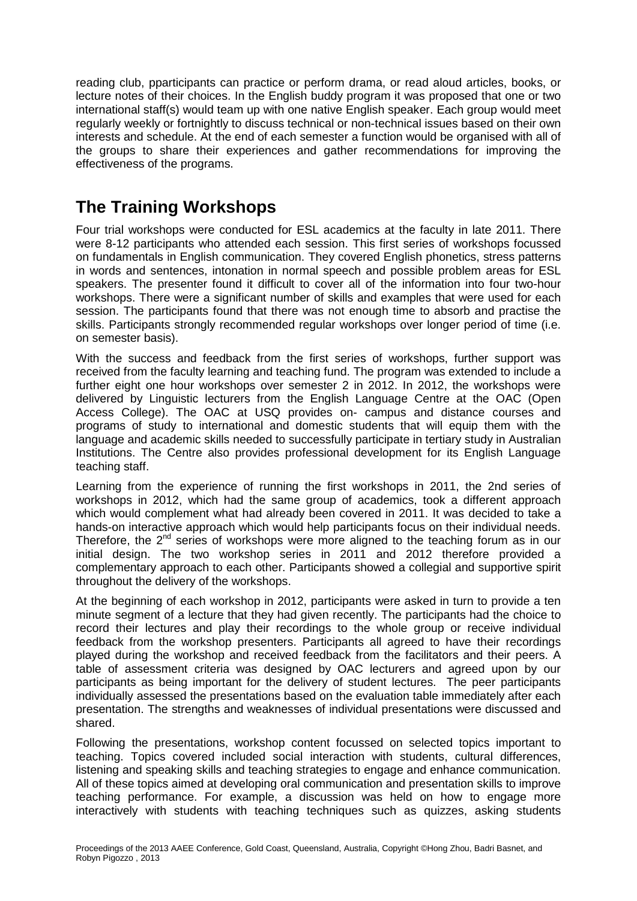reading club, pparticipants can practice or perform drama, or read aloud articles, books, or lecture notes of their choices. In the English buddy program it was proposed that one or two international staff(s) would team up with one native English speaker. Each group would meet regularly weekly or fortnightly to discuss technical or non-technical issues based on their own interests and schedule. At the end of each semester a function would be organised with all of the groups to share their experiences and gather recommendations for improving the effectiveness of the programs.

# **The Training Workshops**

Four trial workshops were conducted for ESL academics at the faculty in late 2011. There were 8-12 participants who attended each session. This first series of workshops focussed on fundamentals in English communication. They covered English phonetics, stress patterns in words and sentences, intonation in normal speech and possible problem areas for ESL speakers. The presenter found it difficult to cover all of the information into four two-hour workshops. There were a significant number of skills and examples that were used for each session. The participants found that there was not enough time to absorb and practise the skills. Participants strongly recommended regular workshops over longer period of time (i.e. on semester basis).

With the success and feedback from the first series of workshops, further support was received from the faculty learning and teaching fund. The program was extended to include a further eight one hour workshops over semester 2 in 2012. In 2012, the workshops were delivered by Linguistic lecturers from the English Language Centre at the OAC (Open Access College). The OAC at USQ provides on- campus and distance courses and programs of study to international and domestic students that will equip them with the language and academic skills needed to successfully participate in tertiary study in Australian Institutions. The Centre also provides professional development for its English Language teaching staff.

Learning from the experience of running the first workshops in 2011, the 2nd series of workshops in 2012, which had the same group of academics, took a different approach which would complement what had already been covered in 2011. It was decided to take a hands-on interactive approach which would help participants focus on their individual needs. Therefore, the 2<sup>nd</sup> series of workshops were more aligned to the teaching forum as in our initial design. The two workshop series in 2011 and 2012 therefore provided a complementary approach to each other. Participants showed a collegial and supportive spirit throughout the delivery of the workshops.

At the beginning of each workshop in 2012, participants were asked in turn to provide a ten minute segment of a lecture that they had given recently. The participants had the choice to record their lectures and play their recordings to the whole group or receive individual feedback from the workshop presenters. Participants all agreed to have their recordings played during the workshop and received feedback from the facilitators and their peers. A table of assessment criteria was designed by OAC lecturers and agreed upon by our participants as being important for the delivery of student lectures. The peer participants individually assessed the presentations based on the evaluation table immediately after each presentation. The strengths and weaknesses of individual presentations were discussed and shared.

Following the presentations, workshop content focussed on selected topics important to teaching. Topics covered included social interaction with students, cultural differences, listening and speaking skills and teaching strategies to engage and enhance communication. All of these topics aimed at developing oral communication and presentation skills to improve teaching performance. For example, a discussion was held on how to engage more interactively with students with teaching techniques such as quizzes, asking students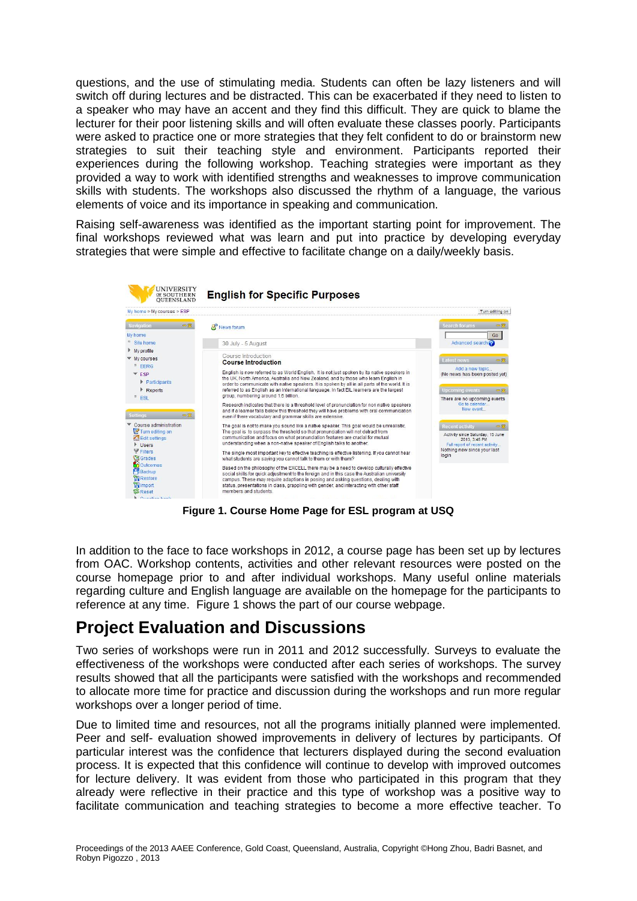questions, and the use of stimulating media. Students can often be lazy listeners and will switch off during lectures and be distracted. This can be exacerbated if they need to listen to a speaker who may have an accent and they find this difficult. They are quick to blame the lecturer for their poor listening skills and will often evaluate these classes poorly. Participants were asked to practice one or more strategies that they felt confident to do or brainstorm new strategies to suit their teaching style and environment. Participants reported their experiences during the following workshop. Teaching strategies were important as they provided a way to work with identified strengths and weaknesses to improve communication skills with students. The workshops also discussed the rhythm of a language, the various elements of voice and its importance in speaking and communication.

Raising self-awareness was identified as the important starting point for improvement. The final workshops reviewed what was learn and put into practice by developing everyday strategies that were simple and effective to facilitate change on a daily/weekly basis.



**Figure 1. Course Home Page for ESL program at USQ**

In addition to the face to face workshops in 2012, a course page has been set up by lectures from OAC. Workshop contents, activities and other relevant resources were posted on the course homepage prior to and after individual workshops. Many useful online materials regarding culture and English language are available on the homepage for the participants to reference at any time. Figure 1 shows the part of our course webpage.

### **Project Evaluation and Discussions**

Two series of workshops were run in 2011 and 2012 successfully. Surveys to evaluate the effectiveness of the workshops were conducted after each series of workshops. The survey results showed that all the participants were satisfied with the workshops and recommended to allocate more time for practice and discussion during the workshops and run more regular workshops over a longer period of time.

Due to limited time and resources, not all the programs initially planned were implemented. Peer and self- evaluation showed improvements in delivery of lectures by participants. Of particular interest was the confidence that lecturers displayed during the second evaluation process. It is expected that this confidence will continue to develop with improved outcomes for lecture delivery. It was evident from those who participated in this program that they already were reflective in their practice and this type of workshop was a positive way to facilitate communication and teaching strategies to become a more effective teacher. To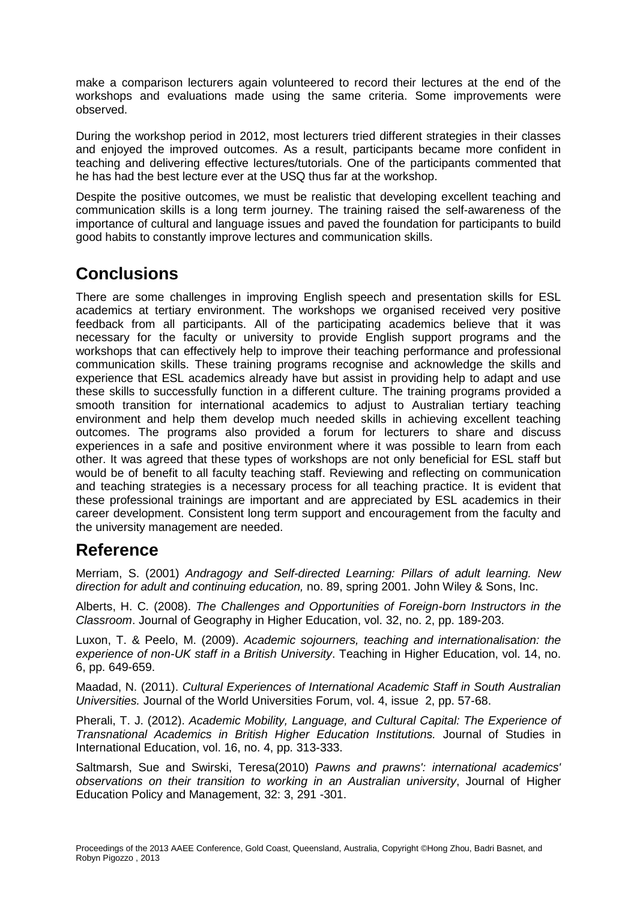make a comparison lecturers again volunteered to record their lectures at the end of the workshops and evaluations made using the same criteria. Some improvements were observed.

During the workshop period in 2012, most lecturers tried different strategies in their classes and enjoyed the improved outcomes. As a result, participants became more confident in teaching and delivering effective lectures/tutorials. One of the participants commented that he has had the best lecture ever at the USQ thus far at the workshop.

Despite the positive outcomes, we must be realistic that developing excellent teaching and communication skills is a long term journey. The training raised the self-awareness of the importance of cultural and language issues and paved the foundation for participants to build good habits to constantly improve lectures and communication skills.

# **Conclusions**

There are some challenges in improving English speech and presentation skills for ESL academics at tertiary environment. The workshops we organised received very positive feedback from all participants. All of the participating academics believe that it was necessary for the faculty or university to provide English support programs and the workshops that can effectively help to improve their teaching performance and professional communication skills. These training programs recognise and acknowledge the skills and experience that ESL academics already have but assist in providing help to adapt and use these skills to successfully function in a different culture. The training programs provided a smooth transition for international academics to adjust to Australian tertiary teaching environment and help them develop much needed skills in achieving excellent teaching outcomes. The programs also provided a forum for lecturers to share and discuss experiences in a safe and positive environment where it was possible to learn from each other. It was agreed that these types of workshops are not only beneficial for ESL staff but would be of benefit to all faculty teaching staff. Reviewing and reflecting on communication and teaching strategies is a necessary process for all teaching practice. It is evident that these professional trainings are important and are appreciated by ESL academics in their career development. Consistent long term support and encouragement from the faculty and the university management are needed.

# **Reference**

Merriam, S. (2001) *Andragogy and Self-directed Learning: Pillars of adult learning. New direction for adult and continuing education,* no. 89, spring 2001. John Wiley & Sons, Inc.

Alberts, H. C. (2008). *The Challenges and Opportunities of Foreign-born Instructors in the Classroom*. Journal of Geography in Higher Education, vol. 32, no. 2, pp. 189-203.

Luxon, T. & Peelo, M. (2009). *Academic sojourners, teaching and internationalisation: the experience of non-UK staff in a British University*. Teaching in Higher Education, vol. 14, no. 6, pp. 649-659.

Maadad, N. (2011). *Cultural Experiences of International Academic Staff in South Australian Universities.* Journal of the World Universities Forum, vol. 4, issue 2, pp. 57-68.

Pherali, T. J. (2012). *Academic Mobility, Language, and Cultural Capital: The Experience of Transnational Academics in British Higher Education Institutions.* Journal of Studies in International Education, vol. 16, no. 4, pp. 313-333.

Saltmarsh, Sue and Swirski, Teresa(2010) *Pawns and prawns': international academics' observations on their transition to working in an Australian university*, Journal of Higher Education Policy and Management, 32: 3, 291 -301.